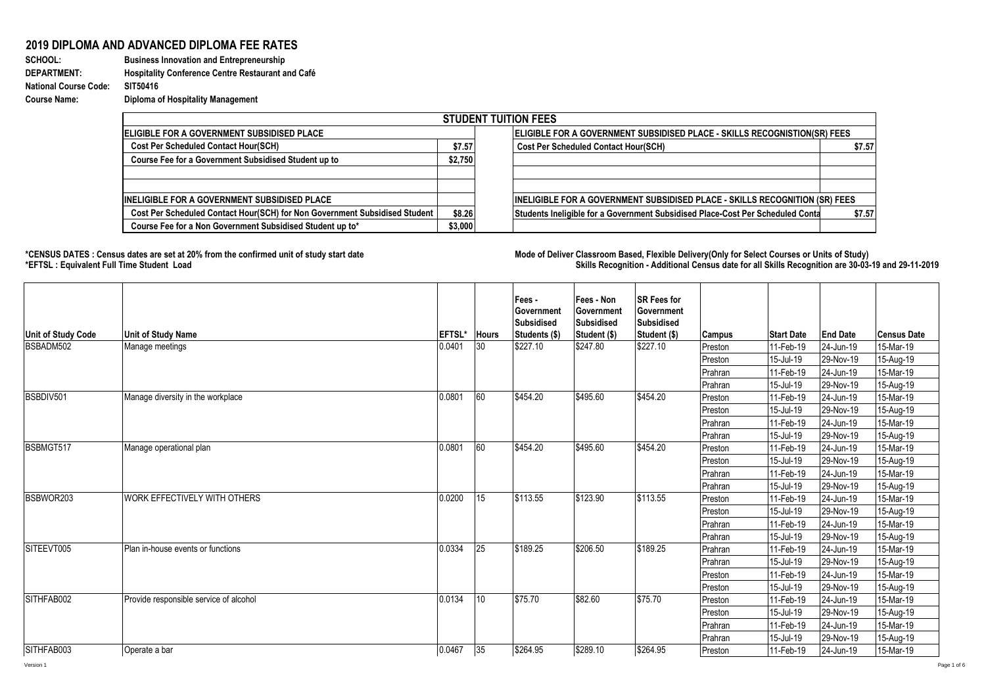## **2019 DIPLOMA AND ADVANCED DIPLOMA FEE RATES**

**SCHOOL: Business Innovation and Entrepreneurship DEPARTMENT: Hospitality Conference Centre Restaurant and Café National Course Code: Course Name: Diploma of Hospitality Management**

| <b>STUDENT TUITION FEES</b>                                                |         |                                                                                          |  |  |  |  |  |  |
|----------------------------------------------------------------------------|---------|------------------------------------------------------------------------------------------|--|--|--|--|--|--|
| <b>IELIGIBLE FOR A GOVERNMENT SUBSIDISED PLACE</b>                         |         | <b>ELIGIBLE FOR A GOVERNMENT SUBSIDISED PLACE - SKILLS RECOGNISTION(SR) FEES</b>         |  |  |  |  |  |  |
| <b>Cost Per Scheduled Contact Hour(SCH)</b>                                | \$7.57  | <b>Cost Per Scheduled Contact Hour(SCH)</b><br>\$7.57                                    |  |  |  |  |  |  |
| Course Fee for a Government Subsidised Student up to                       | \$2,750 |                                                                                          |  |  |  |  |  |  |
|                                                                            |         |                                                                                          |  |  |  |  |  |  |
|                                                                            |         |                                                                                          |  |  |  |  |  |  |
| <b>INELIGIBLE FOR A GOVERNMENT SUBSIDISED PLACE</b>                        |         | <b>INELIGIBLE FOR A GOVERNMENT SUBSIDISED PLACE - SKILLS RECOGNITION (SR) FEES</b>       |  |  |  |  |  |  |
| Cost Per Scheduled Contact Hour(SCH) for Non Government Subsidised Student | \$8.26  | Students Ineligible for a Government Subsidised Place-Cost Per Scheduled Conta<br>\$7.57 |  |  |  |  |  |  |
| Course Fee for a Non Government Subsidised Student up to*                  | \$3,000 |                                                                                          |  |  |  |  |  |  |

1000

**\*CENSUS DATES : Census dates are set at 20% from the confirmed unit of study start date Mode of Delivery:Classroom Based, Flexible Delivery(Only for Select Courses or Units of Study) \*EFTSL : Equivalent Full Time Student Load Skills Recognition - Additional Census date for all Skills Recognition are 30-03-19 and 29-11-2019** 

| <b>Unit of Study Code</b> | <b>Unit of Study Name</b>              | EFTSL* Hours |    | Fees -<br>Government<br>Subsidised<br>Students (\$) | Fees - Non<br>Government<br>Subsidised<br>Student (\$) | <b>SR Fees for</b><br>Government<br><b>Subsidised</b><br>Student (\$) | <b>Campus</b> | <b>Start Date</b> | <b>End Date</b> | <b>Census Date</b> |
|---------------------------|----------------------------------------|--------------|----|-----------------------------------------------------|--------------------------------------------------------|-----------------------------------------------------------------------|---------------|-------------------|-----------------|--------------------|
| BSBADM502                 | Manage meetings                        | 0.0401       | 30 | \$227.10                                            | \$247.80                                               | \$227.10                                                              | Preston       | 11-Feb-19         | 24-Jun-19       | 15-Mar-19          |
|                           |                                        |              |    |                                                     |                                                        |                                                                       | Preston       | 15-Jul-19         | 29-Nov-19       | 15-Aug-19          |
|                           |                                        |              |    |                                                     |                                                        |                                                                       | Prahran       | 11-Feb-19         | 24-Jun-19       | 15-Mar-19          |
|                           |                                        |              |    |                                                     |                                                        |                                                                       | Prahran       | 15-Jul-19         | 29-Nov-19       | 15-Aug-19          |
| BSBDIV501                 | Manage diversity in the workplace      | 0.0801       | 60 | \$454.20                                            | \$495.60                                               | \$454.20                                                              | Preston       | 11-Feb-19         | 24-Jun-19       | 15-Mar-19          |
|                           |                                        |              |    |                                                     |                                                        |                                                                       | Preston       | 15-Jul-19         | 29-Nov-19       | 15-Aug-19          |
|                           |                                        |              |    |                                                     |                                                        |                                                                       | Prahran       | 11-Feb-19         | 24-Jun-19       | 15-Mar-19          |
|                           |                                        |              |    |                                                     |                                                        | Prahran                                                               | 15-Jul-19     | 29-Nov-19         | 15-Aug-19       |                    |
| BSBMGT517                 | Manage operational plan                | 0.0801       | 60 | \$454.20                                            | \$495.60                                               | \$454.20                                                              | Preston       | 11-Feb-19         | 24-Jun-19       | 15-Mar-19          |
|                           |                                        |              |    |                                                     |                                                        |                                                                       | Preston       | 15-Jul-19         | 29-Nov-19       | 15-Aug-19          |
|                           |                                        |              |    |                                                     |                                                        |                                                                       | Prahran       | 11-Feb-19         | 24-Jun-19       | 15-Mar-19          |
|                           |                                        |              |    |                                                     |                                                        |                                                                       | Prahran       | 15-Jul-19         | 29-Nov-19       | 15-Aug-19          |
| BSBWOR203                 | <b>WORK EFFECTIVELY WITH OTHERS</b>    | 0.0200       | 15 | \$113.55                                            | \$123.90                                               | \$113.55                                                              | Preston       | 11-Feb-19         | 24-Jun-19       | 15-Mar-19          |
|                           |                                        |              |    |                                                     |                                                        |                                                                       | Preston       | 15-Jul-19         | 29-Nov-19       | 15-Aug-19          |
|                           |                                        |              |    |                                                     |                                                        |                                                                       | Prahran       | 11-Feb-19         | 24-Jun-19       | 15-Mar-19          |
|                           |                                        |              |    |                                                     |                                                        |                                                                       | Prahran       | 15-Jul-19         | 29-Nov-19       | 15-Aug-19          |
| SITEEVT005                | Plan in-house events or functions      | 0.0334       | 25 | \$189.25                                            | \$206.50                                               | \$189.25                                                              | Prahran       | 11-Feb-19         | 24-Jun-19       | 15-Mar-19          |
|                           |                                        |              |    |                                                     |                                                        |                                                                       | Prahran       | 15-Jul-19         | 29-Nov-19       | 15-Aug-19          |
|                           |                                        |              |    |                                                     |                                                        |                                                                       | Preston       | 11-Feb-19         | 24-Jun-19       | 15-Mar-19          |
|                           |                                        |              |    |                                                     |                                                        |                                                                       | Preston       | 15-Jul-19         | 29-Nov-19       | 15-Aug-19          |
| SITHFAB002                | Provide responsible service of alcohol | 0.0134       | 10 | \$75.70                                             | \$82.60                                                | \$75.70                                                               | Preston       | 11-Feb-19         | 24-Jun-19       | 15-Mar-19          |
|                           |                                        |              |    |                                                     |                                                        |                                                                       | Preston       | 15-Jul-19         | 29-Nov-19       | 15-Aug-19          |
|                           |                                        |              |    |                                                     |                                                        |                                                                       | Prahran       | 11-Feb-19         | 24-Jun-19       | 15-Mar-19          |
|                           |                                        |              |    |                                                     |                                                        |                                                                       | Prahran       | 15-Jul-19         | 29-Nov-19       | 15-Aug-19          |
| SITHFAB003                | Operate a bar                          | 0.0467       | 35 | \$264.95                                            | \$289.10                                               | \$264.95                                                              | Preston       | 11-Feb-19         | 24-Jun-19       | 15-Mar-19          |
| Version 1                 |                                        |              |    |                                                     |                                                        |                                                                       |               |                   |                 |                    |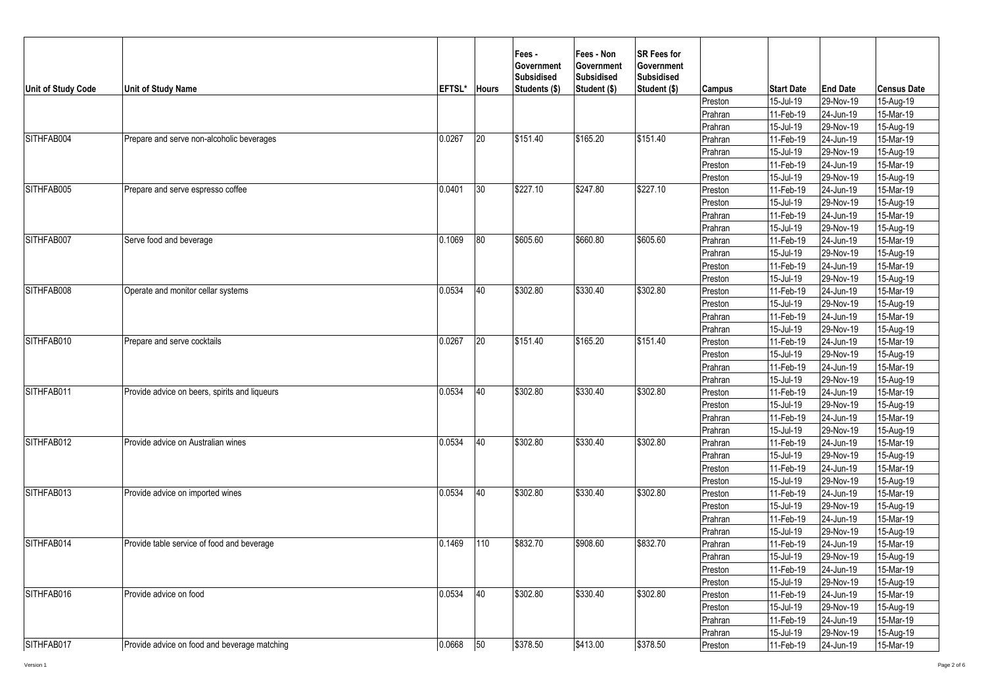| Unit of Study Code | <b>Unit of Study Name</b>                     | EFTSL* | <b>Hours</b> | Fees -<br>Government<br><b>Subsidised</b><br>Students (\$) | Fees - Non<br><b>Government</b><br><b>Subsidised</b><br>Student (\$) | <b>SR Fees for</b><br><b>Government</b><br><b>Subsidised</b><br>Student (\$) | <b>Campus</b> | <b>Start Date</b> | <b>End Date</b>                                                                                                                                                                                                                                                                                                                                                                                                                                                                                            | <b>Census Date</b> |
|--------------------|-----------------------------------------------|--------|--------------|------------------------------------------------------------|----------------------------------------------------------------------|------------------------------------------------------------------------------|---------------|-------------------|------------------------------------------------------------------------------------------------------------------------------------------------------------------------------------------------------------------------------------------------------------------------------------------------------------------------------------------------------------------------------------------------------------------------------------------------------------------------------------------------------------|--------------------|
|                    |                                               |        |              |                                                            |                                                                      |                                                                              | Preston       | 15-Jul-19         | 29-Nov-19                                                                                                                                                                                                                                                                                                                                                                                                                                                                                                  | 15-Aug-19          |
|                    |                                               |        |              |                                                            |                                                                      |                                                                              | Prahran       | 11-Feb-19         | 24-Jun-19                                                                                                                                                                                                                                                                                                                                                                                                                                                                                                  | 15-Mar-19          |
|                    |                                               |        |              |                                                            |                                                                      |                                                                              | Prahran       | 15-Jul-19         | 29-Nov-19                                                                                                                                                                                                                                                                                                                                                                                                                                                                                                  | 15-Aug-19          |
| SITHFAB004         | Prepare and serve non-alcoholic beverages     | 0.0267 | 20           | \$151.40                                                   | \$165.20                                                             | \$151.40                                                                     | Prahran       | 11-Feb-19         | 24-Jun-19                                                                                                                                                                                                                                                                                                                                                                                                                                                                                                  | 15-Mar-19          |
|                    |                                               |        |              |                                                            |                                                                      |                                                                              | Prahran       | 15-Jul-19         | 29-Nov-19                                                                                                                                                                                                                                                                                                                                                                                                                                                                                                  | 15-Aug-19          |
|                    |                                               |        |              |                                                            |                                                                      |                                                                              | Preston       | 11-Feb-19         |                                                                                                                                                                                                                                                                                                                                                                                                                                                                                                            | 15-Mar-19          |
|                    |                                               |        |              |                                                            |                                                                      |                                                                              | Preston       | 15-Jul-19         |                                                                                                                                                                                                                                                                                                                                                                                                                                                                                                            | 15-Aug-19          |
| SITHFAB005         | Prepare and serve espresso coffee             | 0.0401 | 30           | \$227.10                                                   | \$247.80                                                             | \$227.10                                                                     | Preston       | 11-Feb-19         |                                                                                                                                                                                                                                                                                                                                                                                                                                                                                                            | 15-Mar-19          |
|                    |                                               |        |              |                                                            |                                                                      |                                                                              | Preston       | 15-Jul-19         |                                                                                                                                                                                                                                                                                                                                                                                                                                                                                                            | 15-Aug-19          |
|                    |                                               |        |              |                                                            |                                                                      |                                                                              | Prahran       | 11-Feb-19         |                                                                                                                                                                                                                                                                                                                                                                                                                                                                                                            | 15-Mar-19          |
|                    |                                               |        |              |                                                            |                                                                      |                                                                              | Prahran       | 15-Jul-19         |                                                                                                                                                                                                                                                                                                                                                                                                                                                                                                            | 15-Aug-19          |
| SITHFAB007         | Serve food and beverage                       | 0.1069 | 80           | \$605.60                                                   | \$660.80                                                             | \$605.60                                                                     | Prahran       | 11-Feb-19         |                                                                                                                                                                                                                                                                                                                                                                                                                                                                                                            | 15-Mar-19          |
|                    |                                               |        |              |                                                            |                                                                      |                                                                              | Prahran       | 15-Jul-19         |                                                                                                                                                                                                                                                                                                                                                                                                                                                                                                            | 15-Aug-19          |
|                    |                                               |        |              |                                                            |                                                                      |                                                                              | Preston       | 11-Feb-19         |                                                                                                                                                                                                                                                                                                                                                                                                                                                                                                            | 15-Mar-19          |
|                    |                                               |        |              |                                                            |                                                                      |                                                                              | Preston       | 15-Jul-19         |                                                                                                                                                                                                                                                                                                                                                                                                                                                                                                            | $15-Aug-19$        |
| SITHFAB008         | Operate and monitor cellar systems            | 0.0534 | 40           | \$302.80                                                   | \$330.40                                                             | \$302.80                                                                     | Preston       | 11-Feb-19         |                                                                                                                                                                                                                                                                                                                                                                                                                                                                                                            | $15-Mar-19$        |
|                    |                                               |        |              |                                                            |                                                                      |                                                                              | Preston       | 15-Jul-19         |                                                                                                                                                                                                                                                                                                                                                                                                                                                                                                            | 15-Aug-19          |
|                    |                                               |        |              |                                                            |                                                                      |                                                                              | Prahran       | 11-Feb-19         |                                                                                                                                                                                                                                                                                                                                                                                                                                                                                                            | 15-Mar-19          |
|                    |                                               |        |              |                                                            |                                                                      |                                                                              | Prahran       | 15-Jul-19         |                                                                                                                                                                                                                                                                                                                                                                                                                                                                                                            | 15-Aug-19          |
| SITHFAB010         | Prepare and serve cocktails                   | 0.0267 | 20           | \$151.40                                                   | \$165.20                                                             | \$151.40                                                                     | Preston       | 11-Feb-19         |                                                                                                                                                                                                                                                                                                                                                                                                                                                                                                            | 15-Mar-19          |
|                    |                                               |        |              |                                                            |                                                                      |                                                                              | Preston       | 15-Jul-19         |                                                                                                                                                                                                                                                                                                                                                                                                                                                                                                            | 15-Aug-19          |
|                    |                                               |        |              |                                                            |                                                                      |                                                                              | Prahran       | 11-Feb-19         |                                                                                                                                                                                                                                                                                                                                                                                                                                                                                                            | 15-Mar-19          |
|                    |                                               |        |              |                                                            |                                                                      |                                                                              | Prahran       | 15-Jul-19         |                                                                                                                                                                                                                                                                                                                                                                                                                                                                                                            | 15-Aug-19          |
| SITHFAB011         | Provide advice on beers, spirits and liqueurs | 0.0534 | 40           | \$302.80                                                   | \$330.40                                                             | \$302.80                                                                     | Preston       | 11-Feb-19         |                                                                                                                                                                                                                                                                                                                                                                                                                                                                                                            | $15-Mar-19$        |
|                    |                                               |        |              |                                                            |                                                                      |                                                                              | Preston       | 15-Jul-19         | 24-Jun-19<br>29-Nov-19<br>24-Jun-19<br>29-Nov-19<br>24-Jun-19<br>29-Nov-19<br>24-Jun-19<br>29-Nov-19<br>24-Jun-19<br>29-Nov-19<br>24-Jun-19<br>29-Nov-19<br>29-Nov-19<br>24-Jun-19<br>29-Nov-19<br>24-Jun-19<br>29-Nov-19<br>24-Jun-19<br>29-Nov-19<br>24-Jun-19<br>29-Nov-19<br>24-Jun-19<br>29-Nov-19<br>24-Jun-19<br>29-Nov-19<br>24-Jun-19<br>29-Nov-19<br>24-Jun-19<br>29-Nov-19<br>24-Jun-19<br>29-Nov-19<br>24-Jun-19<br>29-Nov-19<br>24-Jun-19<br>29-Nov-19<br>24-Jun-19<br>29-Nov-19<br>24-Jun-19 | $15-Aug-19$        |
|                    |                                               |        |              |                                                            |                                                                      |                                                                              | Prahran       | 11-Feb-19         |                                                                                                                                                                                                                                                                                                                                                                                                                                                                                                            |                    |
|                    |                                               |        |              |                                                            |                                                                      |                                                                              | Prahran       | 15-Jul-19         |                                                                                                                                                                                                                                                                                                                                                                                                                                                                                                            | 15-Aug-19          |
| SITHFAB012         | Provide advice on Australian wines            | 0.0534 | 40           | \$302.80                                                   | \$330.40                                                             | \$302.80                                                                     | Prahran       | 11-Feb-19         |                                                                                                                                                                                                                                                                                                                                                                                                                                                                                                            |                    |
|                    |                                               |        |              |                                                            |                                                                      |                                                                              | Prahran       | 15-Jul-19         | $\overline{24}$ -Jun-19<br>15-Mar-19<br>15-Mar-19<br>15-Mar-19                                                                                                                                                                                                                                                                                                                                                                                                                                             | 15-Aug-19          |
|                    |                                               |        |              |                                                            |                                                                      |                                                                              | Preston       | 11-Feb-19         |                                                                                                                                                                                                                                                                                                                                                                                                                                                                                                            |                    |
|                    |                                               |        |              |                                                            |                                                                      |                                                                              | Preston       | 15-Jul-19         |                                                                                                                                                                                                                                                                                                                                                                                                                                                                                                            | 15-Aug-19          |
| SITHFAB013         | Provide advice on imported wines              | 0.0534 | 40           | \$302.80                                                   | \$330.40                                                             | \$302.80                                                                     | Preston       | 11-Feb-19         |                                                                                                                                                                                                                                                                                                                                                                                                                                                                                                            | 15-Mar-19          |
|                    |                                               |        |              |                                                            |                                                                      |                                                                              | Preston       | 15-Jul-19         |                                                                                                                                                                                                                                                                                                                                                                                                                                                                                                            | 15-Aug-19          |
|                    |                                               |        |              |                                                            |                                                                      |                                                                              | Prahran       | 11-Feb-19         |                                                                                                                                                                                                                                                                                                                                                                                                                                                                                                            | 15-Mar-19          |
|                    |                                               |        |              |                                                            |                                                                      |                                                                              | Prahran       | 15-Jul-19         |                                                                                                                                                                                                                                                                                                                                                                                                                                                                                                            | 15-Aug-19          |
| SITHFAB014         | Provide table service of food and beverage    | 0.1469 | 110          | \$832.70                                                   | \$908.60                                                             | \$832.70                                                                     | Prahran       | 11-Feb-19         |                                                                                                                                                                                                                                                                                                                                                                                                                                                                                                            | 15-Mar-19          |
|                    |                                               |        |              |                                                            |                                                                      |                                                                              | Prahran       | 15-Jul-19         |                                                                                                                                                                                                                                                                                                                                                                                                                                                                                                            | 15-Aug-19          |
|                    |                                               |        |              |                                                            |                                                                      |                                                                              | Preston       | 11-Feb-19         |                                                                                                                                                                                                                                                                                                                                                                                                                                                                                                            | 15-Mar-19          |
|                    |                                               |        |              |                                                            |                                                                      |                                                                              | Preston       | 15-Jul-19         |                                                                                                                                                                                                                                                                                                                                                                                                                                                                                                            | $15-Aug-19$        |
| SITHFAB016         | Provide advice on food                        | 0.0534 | 40           | \$302.80                                                   | \$330.40                                                             | \$302.80                                                                     | Preston       | 11-Feb-19         |                                                                                                                                                                                                                                                                                                                                                                                                                                                                                                            | 15-Mar-19          |
|                    |                                               |        |              |                                                            |                                                                      |                                                                              | Preston       | 15-Jul-19         |                                                                                                                                                                                                                                                                                                                                                                                                                                                                                                            | 15-Aug-19          |
|                    |                                               |        |              |                                                            |                                                                      |                                                                              | Prahran       | 11-Feb-19         |                                                                                                                                                                                                                                                                                                                                                                                                                                                                                                            | 15-Mar-19          |
|                    |                                               |        |              |                                                            |                                                                      |                                                                              | Prahran       | 15-Jul-19         |                                                                                                                                                                                                                                                                                                                                                                                                                                                                                                            | 15-Aug-19          |
| SITHFAB017         | Provide advice on food and beverage matching  | 0.0668 | 50           | \$378.50                                                   | \$413.00                                                             | \$378.50                                                                     | Preston       | 11-Feb-19         |                                                                                                                                                                                                                                                                                                                                                                                                                                                                                                            | 15-Mar-19          |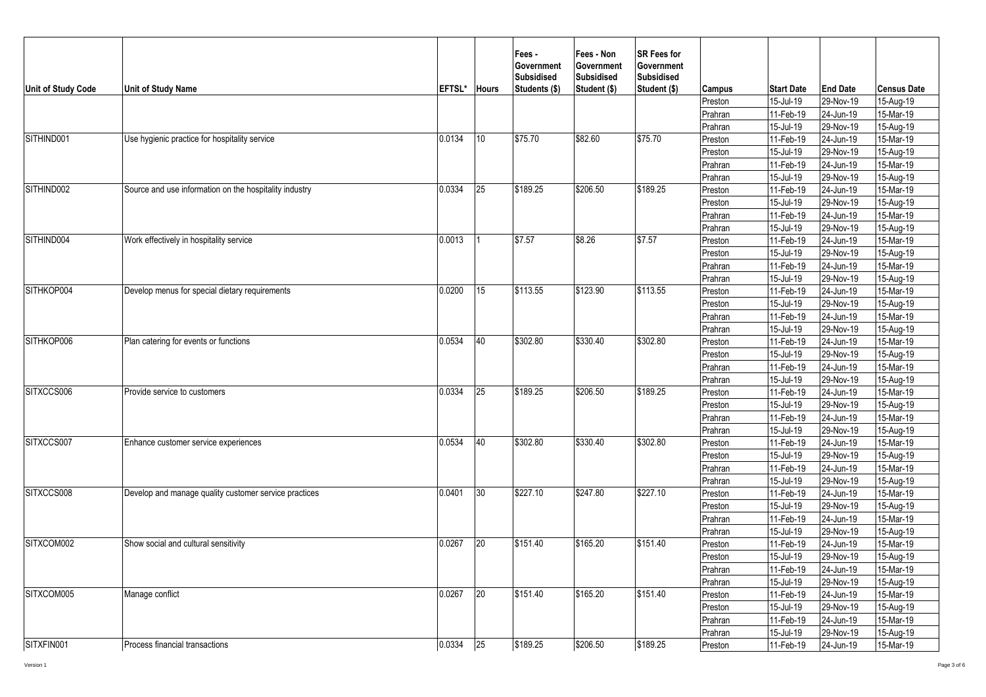| Unit of Study Code | <b>Unit of Study Name</b>                              | EFTSL* | <b>Hours</b>    | Fees -<br><b>Government</b><br><b>Subsidised</b><br>Students (\$) | Fees - Non<br>Government<br><b>Subsidised</b><br>Student (\$) | <b>SR Fees for</b><br>Government<br><b>Subsidised</b><br>Student (\$) | Campus  | <b>Start Date</b> | <b>End Date</b> | <b>Census Date</b> |
|--------------------|--------------------------------------------------------|--------|-----------------|-------------------------------------------------------------------|---------------------------------------------------------------|-----------------------------------------------------------------------|---------|-------------------|-----------------|--------------------|
|                    |                                                        |        |                 |                                                                   |                                                               |                                                                       | Preston | 15-Jul-19         | 29-Nov-19       | 15-Aug-19          |
|                    |                                                        |        |                 |                                                                   |                                                               |                                                                       | Prahran | 11-Feb-19         | 24-Jun-19       | 15-Mar-19          |
|                    |                                                        |        |                 |                                                                   |                                                               |                                                                       | Prahran | 15-Jul-19         | 29-Nov-19       | 15-Aug-19          |
| SITHIND001         | Use hygienic practice for hospitality service          | 0.0134 | 10              | \$75.70                                                           | \$82.60                                                       | \$75.70                                                               | Preston | 11-Feb-19         | 24-Jun-19       | 15-Mar-19          |
|                    |                                                        |        |                 |                                                                   |                                                               |                                                                       | Preston | 15-Jul-19         | 29-Nov-19       | 15-Aug-19          |
|                    |                                                        |        |                 |                                                                   |                                                               |                                                                       | Prahran | 11-Feb-19         | 24-Jun-19       | 15-Mar-19          |
|                    |                                                        |        |                 |                                                                   |                                                               |                                                                       | Prahran | 15-Jul-19         | 29-Nov-19       | 15-Aug-19          |
| SITHIND002         | Source and use information on the hospitality industry | 0.0334 | 25              | \$189.25                                                          | \$206.50                                                      | \$189.25                                                              | Preston | 11-Feb-19         | 24-Jun-19       | 15-Mar-19          |
|                    |                                                        |        |                 |                                                                   |                                                               |                                                                       | Preston | 15-Jul-19         | 29-Nov-19       | 15-Aug-19          |
|                    |                                                        |        |                 |                                                                   |                                                               |                                                                       | Prahran | 11-Feb-19         | 24-Jun-19       | 15-Mar-19          |
|                    |                                                        |        |                 |                                                                   |                                                               |                                                                       | Prahran | 15-Jul-19         | 29-Nov-19       | 15-Aug-19          |
| SITHIND004         | Work effectively in hospitality service                | 0.0013 |                 | \$7.57                                                            | \$8.26                                                        | \$7.57                                                                | Preston | 11-Feb-19         | 24-Jun-19       | 15-Mar-19          |
|                    |                                                        |        |                 |                                                                   |                                                               |                                                                       | Preston | 15-Jul-19         | 29-Nov-19       | 15-Aug-19          |
|                    |                                                        |        |                 |                                                                   |                                                               |                                                                       | Prahran | 11-Feb-19         | 24-Jun-19       | 15-Mar-19          |
|                    |                                                        |        |                 |                                                                   |                                                               |                                                                       | Prahran | 15-Jul-19         | 29-Nov-19       | 15-Aug-19          |
| SITHKOP004         | Develop menus for special dietary requirements         | 0.0200 | 15              | \$113.55                                                          | \$123.90                                                      | \$113.55                                                              | Preston | 11-Feb-19         | 24-Jun-19       | $15$ -Mar-19       |
|                    |                                                        |        |                 |                                                                   |                                                               |                                                                       | Preston | 15-Jul-19         | 29-Nov-19       | 15-Aug-19          |
|                    |                                                        |        |                 |                                                                   |                                                               |                                                                       | Prahran | 11-Feb-19         | 24-Jun-19       | 15-Mar-19          |
|                    |                                                        |        |                 |                                                                   |                                                               |                                                                       | Prahran | 15-Jul-19         | 29-Nov-19       | 15-Aug-19          |
| SITHKOP006         | Plan catering for events or functions                  | 0.0534 | 40              | \$302.80                                                          | \$330.40                                                      | \$302.80                                                              | Preston | 11-Feb-19         | 24-Jun-19       | 15-Mar-19          |
|                    |                                                        |        |                 |                                                                   |                                                               |                                                                       | Preston | 15-Jul-19         | 29-Nov-19       | 15-Aug-19          |
|                    |                                                        |        |                 |                                                                   |                                                               |                                                                       | Prahran | 11-Feb-19         | 24-Jun-19       | 15-Mar-19          |
|                    |                                                        |        |                 |                                                                   |                                                               |                                                                       | Prahran | 15-Jul-19         | 29-Nov-19       | 15-Aug-19          |
| SITXCCS006         | Provide service to customers                           | 0.0334 | $\overline{25}$ | \$189.25                                                          | \$206.50                                                      | \$189.25                                                              | Preston | 11-Feb-19         | 24-Jun-19       | 15-Mar-19          |
|                    |                                                        |        |                 |                                                                   |                                                               |                                                                       | Preston | 15-Jul-19         | 29-Nov-19       | 15-Aug-19          |
|                    |                                                        |        |                 |                                                                   |                                                               |                                                                       | Prahran | 11-Feb-19         | 24-Jun-19       | 15-Mar-19          |
|                    |                                                        |        |                 |                                                                   |                                                               |                                                                       | Prahran | 15-Jul-19         | 29-Nov-19       | 15-Aug-19          |
| SITXCCS007         | Enhance customer service experiences                   | 0.0534 | 40              | \$302.80                                                          | \$330.40                                                      | \$302.80                                                              | Preston | 11-Feb-19         | 24-Jun-19       | 15-Mar-19          |
|                    |                                                        |        |                 |                                                                   |                                                               |                                                                       | Preston | 15-Jul-19         | 29-Nov-19       | 15-Aug-19          |
|                    |                                                        |        |                 |                                                                   |                                                               |                                                                       | Prahran | 11-Feb-19         | 24-Jun-19       | 15-Mar-19          |
|                    |                                                        |        |                 |                                                                   |                                                               |                                                                       | Prahran | 15-Jul-19         | 29-Nov-19       | 15-Aug-19          |
| SITXCCS008         | Develop and manage quality customer service practices  | 0.0401 | 30              | \$227.10                                                          | \$247.80                                                      | \$227.10                                                              | Preston | 11-Feb-19         | 24-Jun-19       | 15-Mar-19          |
|                    |                                                        |        |                 |                                                                   |                                                               |                                                                       | Preston | 15-Jul-19         | 29-Nov-19       | 15-Aug-19          |
|                    |                                                        |        |                 |                                                                   |                                                               |                                                                       | Prahran | 11-Feb-19         | 24-Jun-19       | 15-Mar-19          |
|                    |                                                        |        |                 |                                                                   |                                                               |                                                                       | Prahran | 15-Jul-19         | 29-Nov-19       | 15-Aug-19          |
| SITXCOM002         | Show social and cultural sensitivity                   | 0.0267 | 20              | \$151.40                                                          | \$165.20                                                      | \$151.40                                                              | Preston | 11-Feb-19         | 24-Jun-19       | 15-Mar-19          |
|                    |                                                        |        |                 |                                                                   |                                                               |                                                                       | Preston | 15-Jul-19         | 29-Nov-19       | 15-Aug-19          |
|                    |                                                        |        |                 |                                                                   |                                                               |                                                                       | Prahran | 11-Feb-19         | 24-Jun-19       | 15-Mar-19          |
|                    |                                                        |        |                 |                                                                   |                                                               |                                                                       | Prahran | 15-Jul-19         | 29-Nov-19       | 15-Aug-19          |
| SITXCOM005         | Manage conflict                                        | 0.0267 | 20              | \$151.40                                                          | \$165.20                                                      | \$151.40                                                              | Preston | 11-Feb-19         | 24-Jun-19       | 15-Mar-19          |
|                    |                                                        |        |                 |                                                                   |                                                               |                                                                       | Preston | 15-Jul-19         | 29-Nov-19       | 15-Aug-19          |
|                    |                                                        |        |                 |                                                                   |                                                               |                                                                       | Prahran | 11-Feb-19         | 24-Jun-19       | 15-Mar-19          |
|                    |                                                        |        |                 |                                                                   |                                                               |                                                                       | Prahran | 15-Jul-19         | 29-Nov-19       | 15-Aug-19          |
| SITXFIN001         | Process financial transactions                         | 0.0334 | 25              | \$189.25                                                          | \$206.50                                                      | \$189.25                                                              | Preston | 11-Feb-19         | 24-Jun-19       | 15-Mar-19          |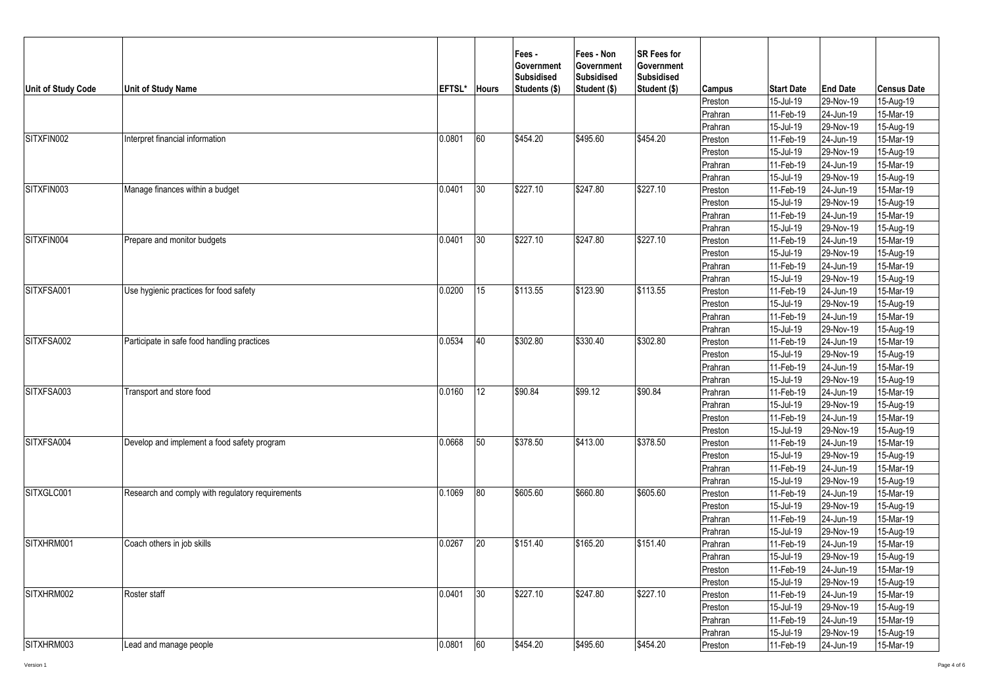| Unit of Study Code | <b>Unit of Study Name</b>                        | EFTSL* | <b>Hours</b> | Fees -<br>Government<br><b>Subsidised</b><br>Students (\$) | Fees - Non<br><b>Government</b><br><b>Subsidised</b><br>Student (\$) | <b>SR Fees for</b><br><b>Government</b><br><b>Subsidised</b><br>Student (\$) | <b>Campus</b> | <b>Start Date</b> | <b>End Date</b>         | <b>Census Date</b> |
|--------------------|--------------------------------------------------|--------|--------------|------------------------------------------------------------|----------------------------------------------------------------------|------------------------------------------------------------------------------|---------------|-------------------|-------------------------|--------------------|
|                    |                                                  |        |              |                                                            |                                                                      |                                                                              | Preston       | 15-Jul-19         | 29-Nov-19               | 15-Aug-19          |
|                    |                                                  |        |              |                                                            |                                                                      |                                                                              | Prahran       | 11-Feb-19         | 24-Jun-19               | 15-Mar-19          |
|                    |                                                  |        |              |                                                            |                                                                      |                                                                              | Prahran       | 15-Jul-19         | 29-Nov-19               | 15-Aug-19          |
| SITXFIN002         | Interpret financial information                  | 0.0801 | 60           | \$454.20                                                   | \$495.60                                                             | \$454.20                                                                     | Preston       | 11-Feb-19         | 24-Jun-19               | $15-Mar-19$        |
|                    |                                                  |        |              |                                                            |                                                                      |                                                                              | Preston       | 15-Jul-19         | 29-Nov-19               | 15-Aug-19          |
|                    |                                                  |        |              |                                                            |                                                                      |                                                                              | Prahran       | 11-Feb-19         | 24-Jun-19               | 15-Mar-19          |
|                    |                                                  |        |              |                                                            |                                                                      |                                                                              | Prahran       | 15-Jul-19         | 29-Nov-19               | 15-Aug-19          |
| SITXFIN003         | Manage finances within a budget                  | 0.0401 | 30           | \$227.10                                                   | \$247.80                                                             | \$227.10                                                                     | Preston       | 11-Feb-19         | 24-Jun-19               | 15-Mar-19          |
|                    |                                                  |        |              |                                                            |                                                                      |                                                                              | Preston       | 15-Jul-19         | 29-Nov-19               | 15-Aug-19          |
|                    |                                                  |        |              |                                                            |                                                                      |                                                                              | Prahran       | 11-Feb-19         | 24-Jun-19               | 15-Mar-19          |
|                    |                                                  |        |              |                                                            |                                                                      |                                                                              | Prahran       | 15-Jul-19         | 29-Nov-19               | 15-Aug-19          |
| SITXFIN004         | Prepare and monitor budgets                      | 0.0401 | 30           | \$227.10                                                   | \$247.80                                                             | \$227.10                                                                     | Preston       | 11-Feb-19         | 24-Jun-19               | 15-Mar-19          |
|                    |                                                  |        |              |                                                            |                                                                      |                                                                              | Preston       | 15-Jul-19         | 29-Nov-19               | 15-Aug-19          |
|                    |                                                  |        |              |                                                            |                                                                      |                                                                              | Prahran       | 11-Feb-19         | 24-Jun-19               | 15-Mar-19          |
|                    |                                                  |        |              |                                                            |                                                                      |                                                                              | Prahran       | 15-Jul-19         | 29-Nov-19               | $15-Aug-19$        |
| SITXFSA001         | Use hygienic practices for food safety           | 0.0200 | 15           | \$113.55                                                   | \$123.90                                                             | \$113.55                                                                     | Preston       | 11-Feb-19         | 24-Jun-19               | 15-Mar-19          |
|                    |                                                  |        |              |                                                            |                                                                      |                                                                              | Preston       | 15-Jul-19         | 29-Nov-19               | 15-Aug-19          |
|                    |                                                  |        |              |                                                            |                                                                      |                                                                              | Prahran       | 11-Feb-19         | $\overline{2}$ 4-Jun-19 | 15-Mar-19          |
|                    |                                                  |        |              |                                                            |                                                                      |                                                                              | Prahran       | 15-Jul-19         | 29-Nov-19               | 15-Aug-19          |
| SITXFSA002         | Participate in safe food handling practices      | 0.0534 | 40           | \$302.80                                                   | \$330.40                                                             | \$302.80                                                                     | Preston       | 11-Feb-19         | 24-Jun-19               | 15-Mar-19          |
|                    |                                                  |        |              |                                                            |                                                                      |                                                                              | Preston       | 15-Jul-19         | 29-Nov-19               | 15-Aug-19          |
|                    |                                                  |        |              |                                                            |                                                                      |                                                                              | Prahran       | 11-Feb-19         | 24-Jun-19               | 15-Mar-19          |
|                    |                                                  |        |              |                                                            |                                                                      |                                                                              | Prahran       | 15-Jul-19         | 29-Nov-19               | 15-Aug-19          |
| SITXFSA003         | Transport and store food                         | 0.0160 | 12           | \$90.84                                                    | \$99.12                                                              | \$90.84                                                                      | Prahran       | 11-Feb-19         | 24-Jun-19               | $15-Mar-19$        |
|                    |                                                  |        |              |                                                            |                                                                      |                                                                              | Prahran       | 15-Jul-19         | 29-Nov-19               | $15-Aug-19$        |
|                    |                                                  |        |              |                                                            |                                                                      |                                                                              | Preston       | 11-Feb-19         | 24-Jun-19               | $15-Mar-19$        |
|                    |                                                  |        |              |                                                            |                                                                      |                                                                              | Preston       | 15-Jul-19         | 29-Nov-19               | 15-Aug-19          |
| SITXFSA004         | Develop and implement a food safety program      | 0.0668 | 50           | \$378.50                                                   | \$413.00                                                             | \$378.50                                                                     | Preston       | 11-Feb-19         | 24-Jun-19               | 15-Mar-19          |
|                    |                                                  |        |              |                                                            |                                                                      |                                                                              | Preston       | 15-Jul-19         | 29-Nov-19               | 15-Aug-19          |
|                    |                                                  |        |              |                                                            |                                                                      |                                                                              | Prahran       | $11-Feb-19$       | 24-Jun-19               | 15-Mar-19          |
|                    |                                                  |        |              |                                                            |                                                                      |                                                                              | Prahran       | 15-Jul-19         | 29-Nov-19               | 15-Aug-19          |
| SITXGLC001         | Research and comply with regulatory requirements | 0.1069 | 80           | \$605.60                                                   | \$660.80                                                             | \$605.60                                                                     | Preston       | 11-Feb-19         | 24-Jun-19               | 15-Mar-19          |
|                    |                                                  |        |              |                                                            |                                                                      |                                                                              | Preston       | 15-Jul-19         | 29-Nov-19               | 15-Aug-19          |
|                    |                                                  |        |              |                                                            |                                                                      |                                                                              | Prahran       | 11-Feb-19         | 24-Jun-19               | 15-Mar-19          |
|                    |                                                  |        |              |                                                            |                                                                      |                                                                              | Prahran       | 15-Jul-19         | 29-Nov-19               | 15-Aug-19          |
| SITXHRM001         | Coach others in job skills                       | 0.0267 | 20           | \$151.40                                                   | \$165.20                                                             | \$151.40                                                                     | Prahran       | 11-Feb-19         | 24-Jun-19               | 15-Mar-19          |
|                    |                                                  |        |              |                                                            |                                                                      |                                                                              | Prahran       | 15-Jul-19         | 29-Nov-19               | 15-Aug-19          |
|                    |                                                  |        |              |                                                            |                                                                      |                                                                              | Preston       | 11-Feb-19         | 24-Jun-19               | 15-Mar-19          |
|                    |                                                  |        |              |                                                            |                                                                      |                                                                              | Preston       | 15-Jul-19         | 29-Nov-19               | 15-Aug-19          |
| SITXHRM002         | Roster staff                                     | 0.0401 | 30           | \$227.10                                                   | \$247.80                                                             | \$227.10                                                                     | Preston       | $11-Feb-19$       | 24-Jun-19               | 15-Mar-19          |
|                    |                                                  |        |              |                                                            |                                                                      |                                                                              | Preston       | 15-Jul-19         | 29-Nov-19               | 15-Aug-19          |
|                    |                                                  |        |              |                                                            |                                                                      |                                                                              | Prahran       | 11-Feb-19         | 24-Jun-19               | 15-Mar-19          |
|                    |                                                  |        |              |                                                            |                                                                      |                                                                              | Prahran       | 15-Jul-19         | 29-Nov-19               | 15-Aug-19          |
| SITXHRM003         | Lead and manage people                           | 0.0801 | 60           | \$454.20                                                   | \$495.60                                                             | \$454.20                                                                     | Preston       | 11-Feb-19         | 24-Jun-19               | 15-Mar-19          |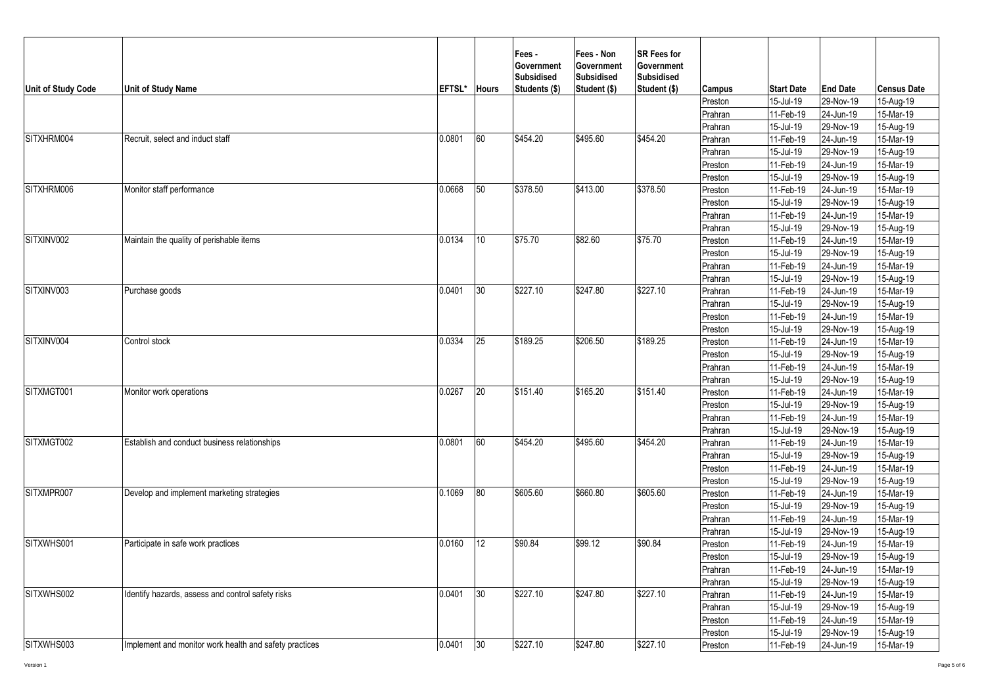| Unit of Study Code | <b>Unit of Study Name</b>                              | EFTSL* | <b>Hours</b>    | Fees -<br>Government<br><b>Subsidised</b><br>Students (\$) | Fees - Non<br><b>Government</b><br><b>Subsidised</b><br>Student (\$) | <b>SR Fees for</b><br><b>Government</b><br><b>Subsidised</b><br>Student (\$) | Campus  | <b>Start Date</b> | <b>End Date</b>                                                                                                                                                                                                                                                                                                                                                                                                                           | <b>Census Date</b> |
|--------------------|--------------------------------------------------------|--------|-----------------|------------------------------------------------------------|----------------------------------------------------------------------|------------------------------------------------------------------------------|---------|-------------------|-------------------------------------------------------------------------------------------------------------------------------------------------------------------------------------------------------------------------------------------------------------------------------------------------------------------------------------------------------------------------------------------------------------------------------------------|--------------------|
|                    |                                                        |        |                 |                                                            |                                                                      |                                                                              | Preston | 15-Jul-19         | 29-Nov-19                                                                                                                                                                                                                                                                                                                                                                                                                                 | 15-Aug-19          |
|                    |                                                        |        |                 |                                                            |                                                                      |                                                                              | Prahran | 11-Feb-19         | 24-Jun-19                                                                                                                                                                                                                                                                                                                                                                                                                                 | 15-Mar-19          |
|                    |                                                        |        |                 |                                                            |                                                                      |                                                                              | Prahran | 15-Jul-19         | 29-Nov-19                                                                                                                                                                                                                                                                                                                                                                                                                                 | 15-Aug-19          |
| SITXHRM004         | Recruit, select and induct staff                       | 0.0801 | 60              | \$454.20                                                   | \$495.60                                                             | \$454.20                                                                     | Prahran | 11-Feb-19         | 24-Jun-19                                                                                                                                                                                                                                                                                                                                                                                                                                 | $15-Mar-19$        |
|                    |                                                        |        |                 |                                                            |                                                                      |                                                                              | Prahran | 15-Jul-19         |                                                                                                                                                                                                                                                                                                                                                                                                                                           | 15-Aug-19          |
|                    |                                                        |        |                 |                                                            |                                                                      |                                                                              | Preston | 11-Feb-19         |                                                                                                                                                                                                                                                                                                                                                                                                                                           | 15-Mar-19          |
|                    |                                                        |        |                 |                                                            |                                                                      |                                                                              | Preston | 15-Jul-19         |                                                                                                                                                                                                                                                                                                                                                                                                                                           | 15-Aug-19          |
| SITXHRM006         | Monitor staff performance                              | 0.0668 | 50              | \$378.50                                                   | \$413.00                                                             | \$378.50                                                                     | Preston | 11-Feb-19         |                                                                                                                                                                                                                                                                                                                                                                                                                                           | 15-Mar-19          |
|                    |                                                        |        |                 |                                                            |                                                                      |                                                                              | Preston | 15-Jul-19         | 29-Nov-19<br>24-Jun-19<br>29-Nov-19<br>24-Jun-19<br>29-Nov-19<br>24-Jun-19<br>29-Nov-19<br>24-Jun-19<br>29-Nov-19<br>24-Jun-19<br>29-Nov-19<br>24-Jun-19<br>29-Nov-19<br>24-Jun-19<br>29-Nov-19<br>24-Jun-19<br>29-Nov-19<br>24-Jun-19<br>29-Nov-19<br>24-Jun-19<br>29-Nov-19<br>24-Jun-19<br>29-Nov-19<br>24-Jun-19<br>29-Nov-19<br>24-Jun-19<br>29-Nov-19<br>24-Jun-19<br>29-Nov-19<br>24-Jun-19<br>29-Nov-19<br>24-Jun-19<br>29-Nov-19 | 15-Aug-19          |
|                    |                                                        |        |                 |                                                            |                                                                      |                                                                              | Prahran | 11-Feb-19         |                                                                                                                                                                                                                                                                                                                                                                                                                                           | 15-Mar-19          |
|                    |                                                        |        |                 |                                                            |                                                                      |                                                                              | Prahran | 15-Jul-19         |                                                                                                                                                                                                                                                                                                                                                                                                                                           | 15-Aug-19          |
| SITXINV002         | Maintain the quality of perishable items               | 0.0134 | 10 <sup>°</sup> | \$75.70                                                    | \$82.60                                                              | \$75.70                                                                      | Preston | 11-Feb-19         |                                                                                                                                                                                                                                                                                                                                                                                                                                           | 15-Mar-19          |
|                    |                                                        |        |                 |                                                            |                                                                      |                                                                              | Preston | 15-Jul-19         |                                                                                                                                                                                                                                                                                                                                                                                                                                           | 15-Aug-19          |
|                    |                                                        |        |                 |                                                            |                                                                      |                                                                              | Prahran | 11-Feb-19         |                                                                                                                                                                                                                                                                                                                                                                                                                                           | 15-Mar-19          |
|                    |                                                        |        |                 |                                                            |                                                                      |                                                                              | Prahran | 15-Jul-19         |                                                                                                                                                                                                                                                                                                                                                                                                                                           | $15-Aug-19$        |
| SITXINV003         | Purchase goods                                         | 0.0401 | 30              | \$227.10                                                   | \$247.80                                                             | \$227.10                                                                     | Prahran | 11-Feb-19         |                                                                                                                                                                                                                                                                                                                                                                                                                                           | $15-Mar-19$        |
|                    |                                                        |        |                 |                                                            |                                                                      |                                                                              | Prahran | 15-Jul-19         |                                                                                                                                                                                                                                                                                                                                                                                                                                           | 15-Aug-19          |
|                    |                                                        |        |                 |                                                            |                                                                      |                                                                              | Preston | 11-Feb-19         |                                                                                                                                                                                                                                                                                                                                                                                                                                           | 15-Mar-19          |
|                    |                                                        |        |                 |                                                            |                                                                      |                                                                              | Preston | 15-Jul-19         |                                                                                                                                                                                                                                                                                                                                                                                                                                           | 15-Aug-19          |
| SITXINV004         | Control stock                                          | 0.0334 | 25              | \$189.25                                                   | \$206.50                                                             | \$189.25                                                                     | Preston | 11-Feb-19         |                                                                                                                                                                                                                                                                                                                                                                                                                                           | 15-Mar-19          |
|                    |                                                        |        |                 |                                                            |                                                                      |                                                                              | Preston | 15-Jul-19         |                                                                                                                                                                                                                                                                                                                                                                                                                                           | 15-Aug-19          |
|                    |                                                        |        |                 |                                                            |                                                                      |                                                                              | Prahran | 11-Feb-19         |                                                                                                                                                                                                                                                                                                                                                                                                                                           | 15-Mar-19          |
|                    |                                                        |        |                 |                                                            |                                                                      |                                                                              | Prahran | 15-Jul-19         |                                                                                                                                                                                                                                                                                                                                                                                                                                           | 15-Aug-19          |
| SITXMGT001         | Monitor work operations                                | 0.0267 | 20              | \$151.40                                                   | \$165.20                                                             | \$151.40                                                                     | Preston | 11-Feb-19         |                                                                                                                                                                                                                                                                                                                                                                                                                                           | $15-Mar-19$        |
|                    |                                                        |        |                 |                                                            |                                                                      |                                                                              | Preston | 15-Jul-19         |                                                                                                                                                                                                                                                                                                                                                                                                                                           | $15-Aug-19$        |
|                    |                                                        |        |                 |                                                            |                                                                      |                                                                              | Prahran | 11-Feb-19         |                                                                                                                                                                                                                                                                                                                                                                                                                                           | 15-Mar-19          |
|                    |                                                        |        |                 |                                                            |                                                                      |                                                                              | Prahran | 15-Jul-19         |                                                                                                                                                                                                                                                                                                                                                                                                                                           | 15-Aug-19          |
| SITXMGT002         | Establish and conduct business relationships           | 0.0801 | 60              | \$454.20                                                   | \$495.60                                                             | \$454.20                                                                     | Prahran | 11-Feb-19         |                                                                                                                                                                                                                                                                                                                                                                                                                                           | 15-Mar-19          |
|                    |                                                        |        |                 |                                                            |                                                                      |                                                                              | Prahran | 15-Jul-19         |                                                                                                                                                                                                                                                                                                                                                                                                                                           | 15-Aug-19          |
|                    |                                                        |        |                 |                                                            |                                                                      |                                                                              | Preston | 11-Feb-19         |                                                                                                                                                                                                                                                                                                                                                                                                                                           | 15-Mar-19          |
|                    |                                                        |        |                 |                                                            |                                                                      |                                                                              | Preston | 15-Jul-19         |                                                                                                                                                                                                                                                                                                                                                                                                                                           | 15-Aug-19          |
| SITXMPR007         | Develop and implement marketing strategies             | 0.1069 | 80              | \$605.60                                                   | \$660.80                                                             | \$605.60                                                                     | Preston | 11-Feb-19         |                                                                                                                                                                                                                                                                                                                                                                                                                                           | 15-Mar-19          |
|                    |                                                        |        |                 |                                                            |                                                                      |                                                                              | Preston | 15-Jul-19         |                                                                                                                                                                                                                                                                                                                                                                                                                                           | 15-Aug-19          |
|                    |                                                        |        |                 |                                                            |                                                                      |                                                                              | Prahran | 11-Feb-19         |                                                                                                                                                                                                                                                                                                                                                                                                                                           | 15-Mar-19          |
|                    |                                                        |        |                 |                                                            |                                                                      |                                                                              | Prahran | 15-Jul-19         |                                                                                                                                                                                                                                                                                                                                                                                                                                           | 15-Aug-19          |
| SITXWHS001         | Participate in safe work practices                     | 0.0160 | 12              | \$90.84                                                    | \$99.12                                                              | \$90.84                                                                      | Preston | 11-Feb-19         |                                                                                                                                                                                                                                                                                                                                                                                                                                           | 15-Mar-19          |
|                    |                                                        |        |                 |                                                            |                                                                      |                                                                              | Preston | 15-Jul-19         |                                                                                                                                                                                                                                                                                                                                                                                                                                           | 15-Aug-19          |
|                    |                                                        |        |                 |                                                            |                                                                      |                                                                              | Prahran | 11-Feb-19         | 24-Jun-19                                                                                                                                                                                                                                                                                                                                                                                                                                 | 15-Mar-19          |
|                    |                                                        |        |                 |                                                            |                                                                      |                                                                              | Prahran | 15-Jul-19         | 29-Nov-19                                                                                                                                                                                                                                                                                                                                                                                                                                 | 15-Aug-19          |
| SITXWHS002         | Identify hazards, assess and control safety risks      | 0.0401 | 30              | \$227.10                                                   | \$247.80                                                             | \$227.10                                                                     | Prahran | $11-Feb-19$       | 24-Jun-19                                                                                                                                                                                                                                                                                                                                                                                                                                 | 15-Mar-19          |
|                    |                                                        |        |                 |                                                            |                                                                      |                                                                              | Prahran | 15-Jul-19         | 29-Nov-19                                                                                                                                                                                                                                                                                                                                                                                                                                 | 15-Aug-19          |
|                    |                                                        |        |                 |                                                            |                                                                      |                                                                              | Preston | 11-Feb-19         | 24-Jun-19                                                                                                                                                                                                                                                                                                                                                                                                                                 | 15-Mar-19          |
|                    |                                                        |        |                 |                                                            |                                                                      |                                                                              | Preston | 15-Jul-19         | 29-Nov-19                                                                                                                                                                                                                                                                                                                                                                                                                                 | 15-Aug-19          |
| SITXWHS003         | Implement and monitor work health and safety practices | 0.0401 | 30              | \$227.10                                                   | \$247.80                                                             | \$227.10                                                                     | Preston | 11-Feb-19         | 24-Jun-19                                                                                                                                                                                                                                                                                                                                                                                                                                 | 15-Mar-19          |